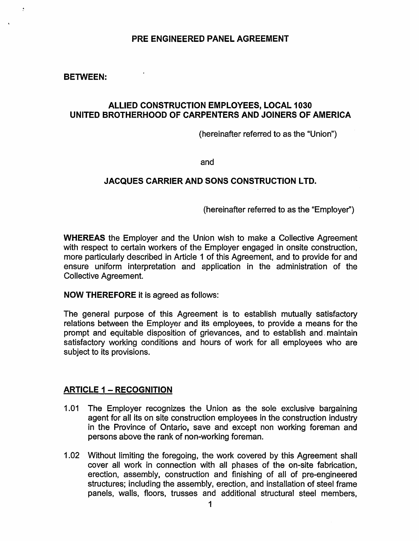#### PRE ENGINEERED PANEL AGREEMENT

#### BETWEEN:

#### ALLIED CONSTRUCTION EMPLOYEES, LOCAL 1030 UNITED BROTHERHOOD OF CARPENTERS AND JOINERS OF AMERICA

(hereinafter referred to as the "Union")

and

# JACQUES CARRIER AND SONS CONSTRUCTION LTD.

(hereinafter referred to as the "Employer'')

WHEREAS the Employer and the Union wish to make a Collective Agreement with respect to certain workers of the Employer engaged in onsite construction, more particularly described in Article 1 of this Agreement, and to provide for and ensure uniform interpretation and application in the administration of the Collective Agreement.

NOW THEREFORE it is agreed as follows:

The general purpose of this Agreement is to establish mutually satisfactory relations between the Employer and its employees, to provide a means for the prompt and equitable disposition of grievances, and to establish and\_ maintain satisfactory working conditions and hours of work for all employees who are subject to its provisions.

#### **ARTICLE 1 - RECOGNITION**

- 1.01 The Employer recognizes the Union as the sole exclusive bargaining agent for all its on site construction employees in the construction industry in the Province of Ontario, save and except non working foreman and persons above the rank of non-working foreman.
- 1.02 Without limiting the foregoing, the work covered by this Agreement shall cover all work in connection with all phases of the on-site fabrication, erection, assembly, construction and finishing of all of pre-engineered structures; including the assembly, erection, and installation of steel frame panels, walls, floors, trusses and additional structural steel members,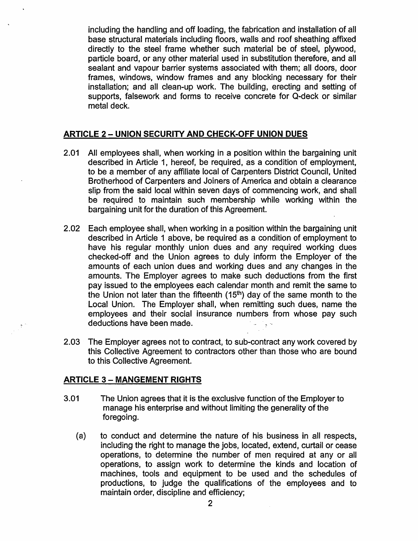including the handling and off loading, the fabrication and installation of all base structural materials including floors, walls and roof sheathing .affixed directly to the steel frame whether such material be of steel, plywood, particle board, or any other material used in substitution therefore, and all sealant and vapour barrier systems associated with them; all doors, door frames, windows, window frames and any blocking necessary for their installation; and all clean-up work. The building, erecting and setting of supports, falsework and forms to receive concrete for Q-deck or similar metal deck.

#### **ARTICLE 2- UNION SECURITY AND CHECK-OFF UNION DUES**

- 2.01 All employees shall, when working in a position within the bargaining unit described in Article 1, hereof, be required, as a condition of employment, to be a member of any affiliate local of Carpenters District Council, United Brotherhood of Carpenters and Joiners of America and obtain a clearance slip from the said local within seven days of commencing work, and· shall be required to maintain such membership while working within the bargaining unit for the duration of this Agreement.
- 2.02 Each employee shall, when working in a position within the bargaining unit described in Article 1 above, be required as a condition of employment to have his regular monthly union dues and any required working dues checked-off and the Union agrees to duly inform the Employer of the amounts of each union dues and working dues and any changes in the amounts. The Employer agrees to make such deductions from the first pay issued to the employees each calendar month and remit the same to the Union not later than the fifteenth  $(15<sup>th</sup>)$  day of the same month to the Local Union. The Employer shall, when remitting such dues, name the employees and their social insurance numbers from whose pay such deductions have been made.
- 2.03 The Employer agrees not to contract, to sub-contract any work covered by this Collective Agreement to contractors other than those who are bound to this Collective Agreement.

#### **ARTICLE 3 - MANGEMENT RIGHTS**

- 3.01 The Union agrees that it is the exclusive function of the Employer to manage his enterprise and without limiting the generality of the foregoing.
	- (a) to conduct and determine the nature of his business in all respects, including the right to manage the jobs, located, extend, curtail or cease operations, to determine the number of men required at any or all operations, to assign work to determine the kinds and location of machines, tools and equipment to be used and the schedules of productions, to judge the qualifications of the employees and to maintain order, discipline and efficiency;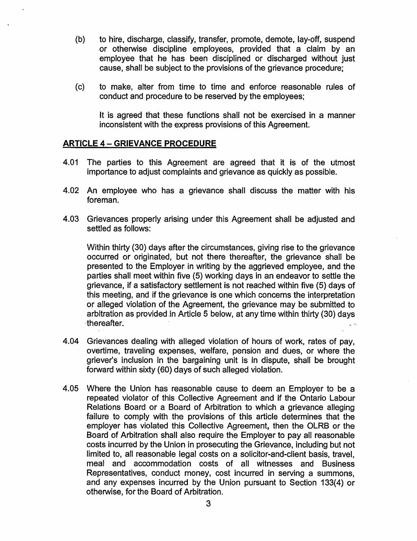- (b) to hire, discharge, classify, transfer, promote, demote, lay-off, suspend or otherwise discipline employees, provided that a claim by an employee that he has been disciplined or discharged without just cause, shall be subject to the provisions of the grievance procedure;
- (c) to make, alter from time to time and enforce reasonable rules of conduct and procedure to be reserved by the employees;

It is agreed that these functions shall not be exercised in a manner inconsistent with the express provisions of this Agreement.

#### ARTICLE 4- GRIEVANCE PROCEDURE

- 4.01 The parties to this Agreement are agreed that it is of the utmost importance to adjust complaints and grievance as quickly as possible.
- 4.02 An employee who has a grievance shall discuss the matter with his foreman.
- 4.03 Grievances properly arising under this Agreement shall be adjusted and settled as follows:

Within thirty (30) days after the circumstances, giving rise to the grievance occurred or originated, but not there thereafter, the grievance shall be presented to the Employer. in writing by the aggrieved employee, and the parties shall meet within five (5) working days in an endeavor to settle the grievance, if a satisfactory settlement is not reached within five (5) days of this meeting, and if the grievance is one which concerns the interpretation or alleged violation of the Agreement, the grievance may be submitted to arbitration as provided in Article 5 below, at any time within thirty (30) days ·thereafter. . ..

- 4.04 Grievances dealing with alleged violation of hours of work, rates of pay, overtime, traveling expenses, welfare, pension and dues, or where the griever's inclusion in the bargaining unit is in dispute, shall be brought forward within sixty (60) days of such alleged violation.
- 4.05 Where the Union has reasonable cause to deem an Employer to be a repeated violator of this Collective Agreement and if the Ontario Labour Relations Board or a Board of Arbitration to which a grievance alleging failure to comply with the provisions of this article determines that the employer has violated this Collective Agreement, then the OLRB or the Board of Arbitration shall also require the Employer to pay all reasonable costs incurred by the Union in prosecuting the Grievance, including but not limited to, all reasonable legal costs on a solicitor-and-client basis, travel, meal and accommodation costs of all witnesses and Business Representatives, conduct money, cost incurred in serving a summons, and any expenses incurred by the Union pursuant to Section 133(4) or otherwise, for the Board of Arbitration.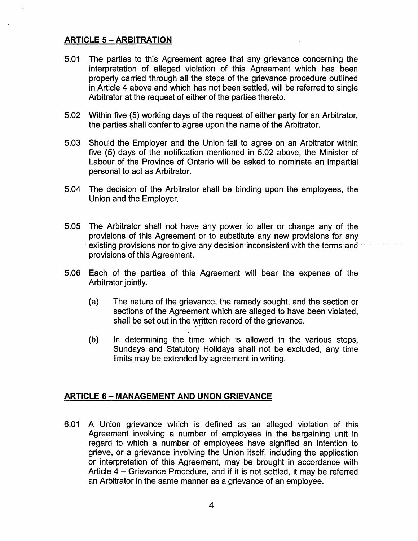# **ARTICLE 5- ARBITRATION**

- 5.01 The parties to this Agreement agree that any grievance concerning the interpretation of alleged violation of this Agreement which has been properly carried through all the steps of the grievance procedure outlined in Article 4 above and which has not been settled, will be referred to single Arbitrator at the request of either of the parties thereto.
- 5.02 Within five (5) working days of the request of either party for an Arbitrator, the parties shall confer to agree upon the name of the Arbitrator.
- 5.03 Should the Employer and the Union fail to agree on an Arbitrator within five (5) days of the notification mentioned in 5.02 above, the Minister of Labour of the Province of Ontario will be asked to nominate an impartial personal to act as Arbitrator.
- 5.04 The decision of the Arbitrator shall be binding upon the employees, the Union and the Employer.
- 5.05 The Arbitrator shall not have any power to alter or change any of the provisions of this Agreement or to substitute any new provisions for any existing provisions nor to give any decision inconsistent with the terms and provisions of this Agreement.
- 5.06 Each of the parties of this Agreement will bear the expense of the Arbitrator jointly.
	- (a) The nature of the grievance, the remedy sought, and the section or sections of the Agreement which are alleged to have been violated, shall be set out in the written record of the grievance.
	- (b) In determining the time which is allowed in the various steps, Sundays and Statutory Holidays shall not be excluded, any time limits may be extended by agreement in writing.

#### **ARTICLE 6- MANAGEMENT AND UNON GRIEVANCE**

6.01 A Union grievance which is defined as an alleged violation of this Agreement involving a number of employees in the bargaining unit in regard to which a number of employees have signified an intention to grieve, or a grievance involving the Union itself, including the application or interpretation of this Agreement, may be brought in accordance with Article 4 - Grievance Procedure, and if it is not settled, it may be referred an Arbitrator in the same manner as a grievance of an employee.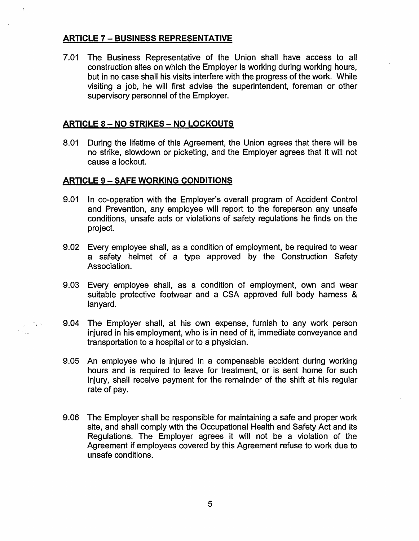# **ARTICLE 7- BUSINESS REPRESENTATIVE**

7.01 The Business Representative of the Union shall have access to all construction sites on which the Employer is working during working hours, but in no case shall his visits interfere with the progress of the work. While visiting a job, he will first advise the superintendent, foreman or other supervisory personnel of the Employer.

#### **ARTICLE 8 - NO STRIKES - NO LOCKOUTS**

8.01 During the lifetime of this Agreement, the Union agrees that there will be no strike, slowdown or picketing, and the Employer agrees that it will not cause a lockout.

#### **ARTICLE 9- SAFE WORKING CONDITIONS**

 $\mathcal{F}_\bullet$   $\sim$ 

- 9.01 In co-operation with the Employer's overall program of Accident Control and Prevention, any employee will report to the foreperson any unsafe conditions, unsafe acts or violations of safety regulations he finds on the project.
- 9.02 Every employee shall, as a condition of employment, be required to wear a safety helmet of a type approved by the Construction Safety Association.
- 9.03 Every employee shall, as a condition of employment, own and wear suitable protective footwear and a CSA approved full body hamess & lanyard.
- 9.04 The Employer shall, at his own expense, furnish to any work person injured in his employment, who is in need of it, immediate conveyance and transportation to a hospital or to a physician.
- 9.05 An employee who is injured in a compensable accident during working hours and is required to leave for treatment, or is sent home for such injury, shall receive payment for the remainder of the shift at his regular rate of pay.
- 9.06 The Employer shall be responsible for maintaining a safe and proper work site, and shall comply with the Occupational Health and Safety Act and its Regulations. The Employer agrees it will not be a violation of the Agreement if employees covered by this Agreement refuse to work due to unsafe conditions.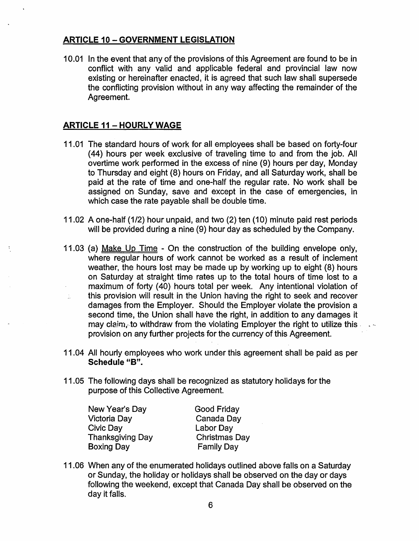# ARTICLE 10- GOVERNMENT LEGISLATION

1 0.01 In the event that any of the provisions of this Agreement are found to be in conflict with any valid and applicable federal and provincial law now existing or hereinafter enacted, it is agreed that such law shall supersede the conflicting provision without in any way affecting the remainder of the Agreement.

# **ARTICLE 11 - HOURLY WAGE**

- 11.01 The standard hours of work for all employees shall be based on forty-four ( 44) hours per week exclusive of traveling time to and from the job. All overtime work performed in the excess of nine (9) hours per day, Monday to Thursday and eight (8) hours on Friday, and all Saturday work, shall be paid at the rate of time and one-half the regular rate. No work shall be assigned on Sunday, save and except in the case of emergencies, in which case the rate payable shall be double time.
- 11.02 A one-half (1/2) hour unpaid, and two (2) ten (10) minute paid rest periods will be provided during a nine (9) hour day as scheduled by the Company.
- 11.03 (a) Make Up Time On the construction of the building envelope only, where regular hours of work cannot be worked as a result of inclement weather, the hours lost may be made up by working up to eight (8) hours on Saturday at straight time rates up to the total hours of time lost to a maximum of forty (40) hours total per week. Any intentional violation of this provision will result in the Union having the right to seek and recover Í. damages from the Employer. Should the Employer violate the provision a second time, the Union shall have the right, in addition to any damages it may claim, to withdraw from the violating Employer the right to utilize this  $\sim$ provision on any further projects for the currency of this Agreement.
- 11.04 All hourly employees who work under this agreement shall be paid as per Schedule "B".
- 11.05 The following days shall be recognized as statutory holidays for the purpose of this Collective Agreement.

New Year's Day Victoria Day Civic Day Thanksgiving Day Boxing Day

Good Friday Canada Day Labor Day Christmas Day Family Day

11.06 When any of the enumerated holidays outlined above falls on a Saturday or Sunday, the holiday or holidays shall be observed on the day or days following the weekend, except that Canada Day shall be observed on the day it falls.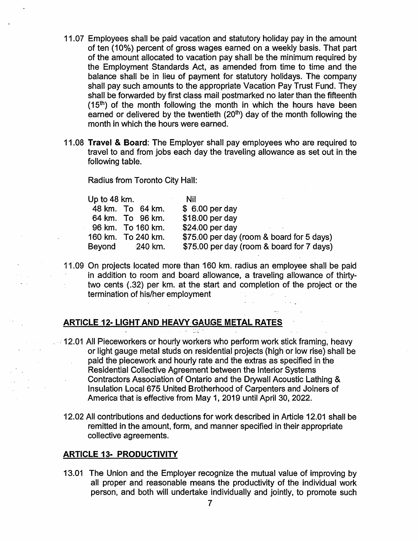- 11.07 Employees shall be paid vacation and statutory holiday pay in the amount of ten (10%) percent of gross wages earned on a weekly basis. That part of the amount allocated to vacation pay shall be the minimum required by the Employment Standards Act, as amended from time to time and the balance shall be in lieu of payment for statutory holidays. The company shall pay such amounts to the appropriate Vacation Pay Trust Fund. They shall be forwarded by first class mail postmarked no later than the fifteenth  $(15<sup>th</sup>)$  of the month following the month in which the hours have been earned or delivered by the twentieth  $(20<sup>th</sup>)$  day of the month following the month in which the hours were earned.
- 11.08 Travel & Board: The Employer shall pay employees who are required to travel to and from jobs each day the traveling allowance as set out in the following table.

Radius from Toronto City Hall:

| Up to 48 km. |                    | Nil                                       |
|--------------|--------------------|-------------------------------------------|
|              | 48 km. To 64 km.   | $$6.00$ per day                           |
|              | 64 km. To 96 km.   | \$18.00 per day                           |
|              | 96 km. To 160 km.  | $$24.00$ per day                          |
|              | 160 km. To 240 km. | \$75.00 per day (room & board for 5 days) |
| Beyond       | 240 km.            | \$75.00 per day (room & board for 7 days) |
|              |                    |                                           |

11.09 On projects located more than 160 km. radius an employee shall be paid in addition to room and board allowance, a traveling allowance of thirtytwo cents (.32) per km. at the start and completion of the project or the  $\frac{1}{2}$ termination of his/her employment

# ARTICLE 12- LIGHT AND HEAVY GAUGE METAL RATES

- **12.01 All Pieceworkers or hourly workers who perform work stick framing, heavy** or light gauge metal studs on residential projects (high or low rise) shall be paid the piecework and hourly rate and the extras as specified in the  $\sim 10^{-1}$ Residential Collective Agreement between the Interior Systems Contractors Association of Ontario and the Drywall Acoustic Lathing &  $\mathcal{L}^{(1)}$ Insulation Local 675 United Brotherhood of Carpenters and Joiners of America that is effective from May 1, 2019 until April 30, 2022.
	- 12.02 All contributions and deductions for work described in Article 12.01 shall be remitted in the amount, form, and manner specified in their appropriate collective agreements.

#### ARTICLE 13· PRODUCTIVITY

 $\mathcal{A}^{\text{reg}}(\mathcal{A})$  $\sim 10^{-1}$   $\bullet$ 

> 13.01 The Union and the Employer recognize the mutual value of improving by all proper and reasonable means the productivity of the individual work person, and both will undertake individually and jointly, to promote such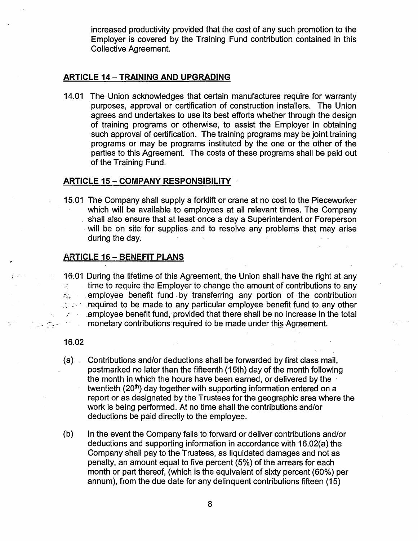increased productivity provided that the cost of any such promotion to the Employer is covered by the Training Fund contribution contained in this Collective Agreement.

#### **ARTICLE 14 - TRAINING AND UPGRADING**

14.01 The Union acknowledges that certain manufactures require for warranty purposes, approval or certification of construction installers. The Union agrees and undertakes to use its best efforts whether through the design of training programs or otherwise, to assist the Employer in obtaining such approval of certification. The training programs may be joint training programs or may be programs instituted by the one or the other of the parties to this Agreement. The costs of these programs shall be paid out of the Training Fund.

#### ARTICLE 15- COMPANY RESPONSIBILITY

15.01 The Company shall supply a forklift or crane at no cost to the Pieceworker which will be available to employees at all relevant times. The Company . ·shall also ensure that at least once a day a Superintendent or Foreperson will be on site for supplies and to resolve any problems that may arise during the day.

#### ARTICLE 16 - BENEFIT PLANS

{ · ·16·.01 During the lifetime of this Agreement, the Union shall have the right at any time to require the Employer to change the amount of contributions to any  $\mathcal{G}^{\mathcal{C}}_{\mathcal{C}}$  $\mathcal{R}_{\star}$  . employee benefit fund by transferring any portion of the contribution *s*: *:* required to be made to any particular employee benefit fund to any other  $\angle$  employee benefit fund, provided that there shall be no increase in the total .  $\mathbb{F}_{\mathbb{R}}$  =  $\mathbb{F}_{\mathbb{R}}$  = monetary contributions required to be made under this Agreement.

#### 16.02

- (a) Contributions and/or deductions shall be forwarded by first class mail, postmarked no later than the fifteenth (15th) day of the month following the month in which the hours have been earned, or delivered by the twentieth (20<sup>th</sup>) day together with supporting information entered on a report or as designated by the Trustees for the geographic area where the work is being performed. At no time shall the contributions and/or deductions be paid directly to the employee.
- (b) In the event the Company fails to forward or deliver contributions and/or deductions and supporting information in accordance with 16.02{a) the Company shall pay to the Trustees, as liquidated damages and not as penalty, an amount equal to five percent (5%) of the arrears for each month or part thereof, (which is the equivalent of sixty percent (60%) per annum), from the due date for any delinquent contributions fifteen (15)

8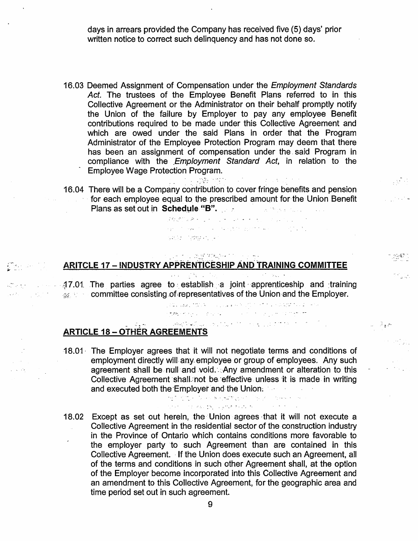days in arrears provided the Company has received five (5) days' prior written notice to correct such delinguency and has not done so.

- 16.03 Deemed Assignment of Compensation under the Employment Standards Act. The trustees of the Employee Benefit Plans referred to in this Collective Agreement or the Administrator on their behalf promptly notify the Union of the failure by Employer to pay any employee Benefit contributions required to be made under this Collective Agreement and which are owed under the said Plans in order that the Program Administrator of the Employee Protection Program may deem that there has been an assignment of compensation under the said Program in compliance with the *Employment Standard Act*, in relation to the **Employee Wage Protection Program.**
- 16.04 There will be a Company contribution to cover fringe benefits and pension for each employee equal to the. prescribed amount for-the Union Benefit Plans as set out in Schedule "B". The state of the set of the set of the set of the set of the set of the set of the set of the set of the set of the set of the set of the set of the set of the set of the set of the set of

 $\label{eq:3} \mathcal{L}_{\mathbf{S}}(\mathbf{r}) = \mathcal{L}_{\mathbf{S}}(\mathbf{r}) + \mathcal{L}_{\mathbf{S}}(\mathbf{r}) = \mathcal{L}_{\mathbf{S}}(\mathbf{r}) + \mathcal{L}_{\mathbf{S}}(\mathbf{r}) + \mathcal{L}_{\mathbf{S}}(\mathbf{r}) + \mathcal{L}_{\mathbf{S}}(\mathbf{r}) + \mathcal{L}_{\mathbf{S}}(\mathbf{r}) + \mathcal{L}_{\mathbf{S}}(\mathbf{r}) + \mathcal{L}_{\mathbf{S}}(\mathbf{r}) + \mathcal{L}_{\mathbf{S}}(\mathbf{r}) + \mathcal{$ . ,-··- .....

 $\sim$   $\sigma$   $\sim$   $\sigma$ 

 $\mathbb{R}^{2 \times 2}$ 

ज़िल्ला

# ARITCLE 17 - INDUSTRY APPRENTICESHIP AND TRAINING COMMITTEE

**というところば女性 ない** かいじょう

-*:i3* 7.01. .The parties agree *to:\_* establi~h\_ -a Joint, -apprenticeship and :training  $\mathbb{R}$  :  $\mathbb{R}$  committee consisting of representatives of the Union and the Employer.

 $\label{eq:2.1} \mathcal{L}^{\mathcal{A}}(\mathcal{A})=\mathcal{L}^{\mathcal{A}}(\mathcal{A})=\mathcal{L}^{\mathcal{A}}(\mathcal{A})=\mathcal{L}^{\mathcal{A}}(\mathcal{A})=\mathcal{L}^{\mathcal{A}}(\mathcal{A})=\mathcal{L}^{\mathcal{A}}(\mathcal{A})=\mathcal{L}^{\mathcal{A}}(\mathcal{A})=\mathcal{L}^{\mathcal{A}}(\mathcal{A})=\mathcal{L}^{\mathcal{A}}(\mathcal{A})=\mathcal{L}^{\mathcal{A}}(\mathcal{A})=\mathcal{L}^{\mathcal{A}}(\mathcal{A})=\math$ 

 $\mathcal{L}^{\mathcal{L}}(\mathcal{L}^{\mathcal{L}}_{\mathcal{L}}(\mathcal{L}^{\mathcal{L}}_{\mathcal{L}}(\mathcal{L}^{\mathcal{L}}_{\mathcal{L}}(\mathcal{L}^{\mathcal{L}}_{\mathcal{L}}(\mathcal{L}^{\mathcal{L}}_{\mathcal{L}}(\mathcal{L}^{\mathcal{L}}_{\mathcal{L}}(\mathcal{L}^{\mathcal{L}}_{\mathcal{L}}(\mathcal{L}^{\mathcal{L}}_{\mathcal{L}}(\mathcal{L}^{\mathcal{L}}_{\mathcal{L}}(\mathcal{L}^{\mathcal{L}}_{\mathcal{L}}(\mathcal{L}^$ *·.-·:,\_* ,· .. -

#### $\mathcal{A}^{\text{H}}\text{A}^{\text{H}}\text{A}^{\text{H}}\text{A}^{\text{H}}\text{A}^{\text{H}}\text{A}^{\text{H}}\text{A}^{\text{H}}\text{A}^{\text{H}}\text{A}^{\text{H}}\text{A}^{\text{H}}\text{A}^{\text{H}}\text{A}^{\text{H}}\text{A}^{\text{H}}\text{A}^{\text{H}}\text{A}^{\text{H}}\text{A}^{\text{H}}\text{A}^{\text{H}}\text{A}^{\text{H}}\text{A}^{\text{H}}\text{A}^{\text{H$ **ARTICLE 18 - OTHER AGREEMENTS**

*\$* ··--..!: •• ir ....

18.01 - The Employer agrees that it will not negotiate terms and conditions of employment directly will any employee or group of employees. Any such agreement shall be null and void. Any amendment or alteration to this Collective Agreement shall not be effective unless it is made in writing and executed both the Employer and the Union; *included* 

> المستعملات والمرادي المربع فتقصيره فالمسترقح والمراجع التواريخ and the complete specification  $\sim 100$  km s  $^{-1}$

18.02 Except as set out herein, the Union agrees that it will not execute a Collective Agreement in the residential sector of the construction industry in the Province of Ontario which contains conditions more favorable to the employer party ·to such Agreement than are contained in this Collective Agreement. -If the Union does execute such an Agreement, all of the terms and conditions in such other Agreement shall, at the option of the Employer become incorporated into this Collective Agreement and an amendment to this Collective Agreement, for the geographic area and time period set out in such agreement.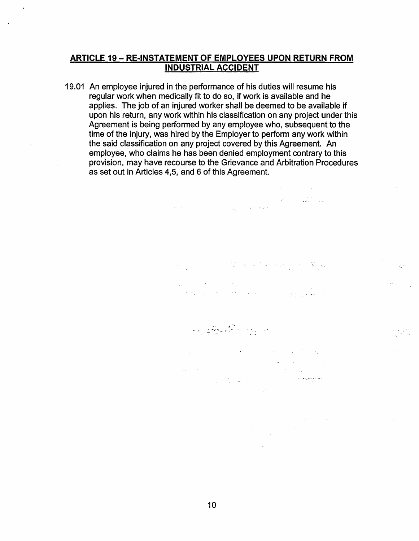#### **ARTICLE 19- RE-INSTATEMENT OF EMPLOYEES UPON RETURN FROM INDUSTRIAL ACCIDENT**

19.01 An employee injured in the performance of his duties will resume his regular work when medically fit to do so, if work is available and he applies. The job of an injured worker shall be deemed to be available if upon his return, any work within his classification on any project under this Agreement is being performed by any employee who, subsequent to the time of the injury, was hired by the Employer to perform any work within the said classification on any project covered by this Agreement. An employee, who claims he has been denied employment contrary to this provision, may have recourse to the Grievance and Arbitration Procedures as set out in Articles 4,5, and 6 of this Agreement.

 $\label{eq:2.1} \begin{split} \mathcal{L}_{\mathcal{A}}(\mathcal{A})&=\mathcal{L}_{\mathcal{A}}(\mathcal{A})\otimes\mathcal{L}_{\mathcal{A}}(\mathcal{A})\otimes\mathcal{L}_{\mathcal{A}}(\mathcal{A})\otimes\mathcal{L}_{\mathcal{A}}(\mathcal{A})\otimes\mathcal{L}_{\mathcal{A}}(\mathcal{A})\otimes\mathcal{L}_{\mathcal{A}}(\mathcal{A})\otimes\mathcal{L}_{\mathcal{A}}(\mathcal{A})\otimes\mathcal{L}_{\mathcal{A}}(\mathcal{A})\otimes\mathcal{L}_{\mathcal{A}}(\mathcal{A})\$ 

 $\hat{\mathcal{A}}_{\mathbf{z}}$ 

 $\label{eq:G1} \mathcal{G}_1(\mathcal{C}) = \mathcal{G}_1(\mathcal{C}) = \mathcal{G}_2(\mathcal{C}) = \mathcal{G}_1(\mathcal{C}) = \mathcal{G}_2(\mathcal{C}) = \mathcal{G}_1(\mathcal{C}) = \mathcal{G}_2(\mathcal{C}) = \mathcal{G}_1(\mathcal{C}) = \mathcal{G}_2(\mathcal{C}) = \mathcal{G}_1(\mathcal{C}) = \mathcal{G}_2(\mathcal{C}) = \mathcal{G}_1(\mathcal{C}) = \mathcal{G}_2(\mathcal{C}) = \mathcal{G}_1(\mathcal{C}) = \mathcal{G}_2(\mathcal{C}) = \math$  $\label{eq:2.1} \begin{split} \mathcal{L}_{\text{max}}(\mathbf{r},\mathbf{r}) = \mathcal{L}_{\text{max}}(\mathbf{r},\mathbf{r}) = \mathcal{L}_{\text{max}}(\mathbf{r},\mathbf{r}) = \mathcal{L}_{\text{max}}(\mathbf{r},\mathbf{r}) = \mathcal{L}_{\text{max}}(\mathbf{r},\mathbf{r}) = \mathcal{L}_{\text{max}}(\mathbf{r},\mathbf{r}) = \mathcal{L}_{\text{max}}(\mathbf{r},\mathbf{r}) = \mathcal{L}_{\text{max}}(\mathbf{r},\mathbf{r}) = \mathcal{L}_{\text{max}}(\mathbf$ 

 $\Delta\sigma_{\rm{eff}}=0.01$  and  $\Delta\sigma_{\rm{eff}}$ 

 $\frac{1}{2}$  ,  $\frac{1}{2}$ 

 $\mathcal{L}(\mathcal{V})$ 

 $\omega \rightarrow 0$ 

 $\label{eq:2.1} \mathcal{F}^{(1)}_{\mathcal{F}}(x) = \mathcal{F}^{(1)}_{\mathcal{F}}(x) = \mathcal{F}^{(1)}_{\mathcal{F}}(x) = \mathcal{F}^{(1)}_{\mathcal{F}}(x)$ 

-· ~ .... ·. ~-· ~

 $\sim$ 

 $\mathcal{A}$ 

 $\mathcal{L}_{\mathcal{A}}$  and the set of the set of the set of the set of the set of the set of the set of the set of the set of the set of the set of the set of the set of the set of the set of the set of the set of the set of the  $\mathcal{L}_{\rm{max}}$  $\sim 10^{-1}$ 

 $\mathcal{O}(\mathcal{A}^{\mathcal{A}})$  , and  $\mathcal{O}(\mathcal{A}^{\mathcal{A}})$  , and  $\mathcal{O}(\mathcal{A}^{\mathcal{A}})$  $\label{eq:2.1} \begin{split} \frac{d}{dt} \left( \frac{d}{dt} \right) & = \frac{d}{dt} \left( \frac{d}{dt} \right) \frac{d}{dt} \left( \frac{d}{dt} \right) \\ & = \frac{d}{dt} \left( \frac{d}{dt} \right) & = \frac{d}{dt} \left( \frac{d}{dt} \right) \frac{d}{dt} \left( \frac{d}{dt} \right) \\ & = \frac{d}{dt} \left( \frac{d}{dt} \right) & = \frac{d}{dt} \left( \frac{d}{dt} \right) \frac{d}{dt} \left( \frac{d}{dt} \right) \\ & = \frac{d}{dt} \left( \$  $\sim 10^{-11}$  $\label{eq:2.1} \frac{1}{2} \sum_{i=1}^n \frac{1}{2} \sum_{j=1}^n \frac{1}{2} \sum_{j=1}^n \frac{1}{2} \sum_{j=1}^n \frac{1}{2} \sum_{j=1}^n \frac{1}{2} \sum_{j=1}^n \frac{1}{2} \sum_{j=1}^n \frac{1}{2} \sum_{j=1}^n \frac{1}{2} \sum_{j=1}^n \frac{1}{2} \sum_{j=1}^n \frac{1}{2} \sum_{j=1}^n \frac{1}{2} \sum_{j=1}^n \frac{1}{2} \sum_{j=1}^n \frac{$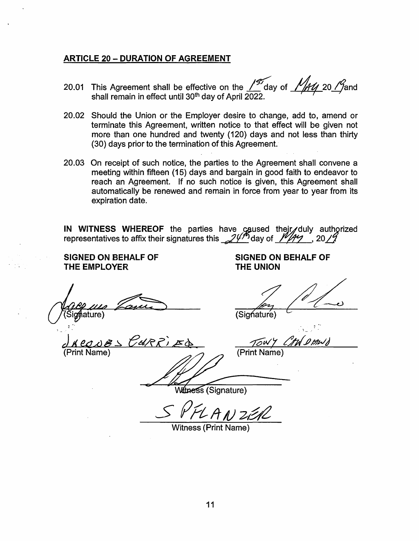#### **ARTICLE 20- DURATION OF AGREEMENT**

- 20.01 This Agreement shall be effective on the  $\frac{197}{2}$  day of  $\frac{1144}{20}$  20  $\frac{19}{2}$  and shall remain in effect until 30<sup>th</sup> day of April 2022.
- 20.02 Should the Union or the Employer desire to change, add to, amend or terminate this Agreement, written notice to that effect will be given not more than one hundred and twenty (120) days and not less than thirty (30) days prior to the termination of this Agreement.
- 20.03 On receipt of such notice, the parties to the Agreement shall convene a meeting within fifteen (15) days and bargain in good faith to endeavor to reach an Agreement. If no such notice is given, this Agreement shall automatically be renewed and remain in force from year to year from its expiration date.

IN WITNESS WHEREOF the parties have caused their duly authorized representatives to affix their signatures this  $24^{\frac{1}{2}}$  day of  $\frac{1}{12}$ , 20  $1/2$ 

**SIGNED ON BEHALF OF THE EMPLOYER** 

! ....

Case un Zame

ddect.t<JI!~ eu;e?; E~ ~VV:'! */7JIJJP!Wt)*  Case 110 Cases Cases (Signature)

**SIGNED ON BEHALF OF THE UNION** 

Witness (Signature)

Witness (Print Name)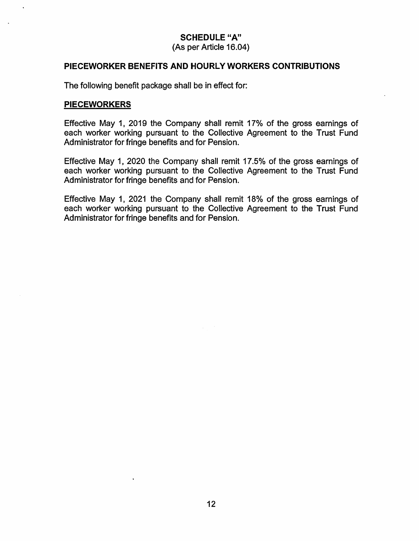# **SCHEDULE "A"**

(As per Article 16.04)

#### **PIECEWORKER BENEFITS AND HOURLY WORKERS CONTRIBUTIONS**

The following benefit package shall be in effect for:

#### **PIECEWORKERS**

Effective May 1, 2019 the Company shall remit 17% of the gross earnings of each worker working pursuant to the Collective Agreement to the Trust Fund Administrator for fringe benefits and for Pension.

Effective May 1, 2020 the Company shall remit 17.5% of the gross earnings of each worker working pursuant to the Collective Agreement to the Trust Fund Administrator for fringe benefits and for Pension.

Effective May 1, 2021 the Company shall remit 18% of the gross earnings of each worker working pursuant to the Collective Agreement to the Trust Fund Administrator for fringe benefits and for Pension.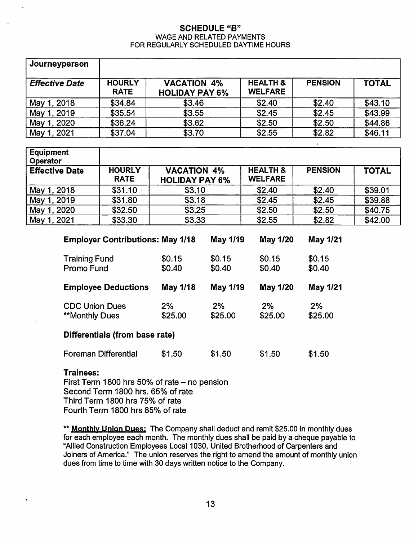#### SCHEDULE "B" WAGE AND RELATED PAYMENTS FOR REGULARLY SCHEDULED DAYTIME HOURS

| Journeyperson         |                              |                                             |                                       |                |              |
|-----------------------|------------------------------|---------------------------------------------|---------------------------------------|----------------|--------------|
| <b>Effective Date</b> | <b>HOURLY</b><br><b>RATE</b> | <b>VACATION 4%</b><br><b>HOLIDAY PAY 6%</b> | <b>HEALTH &amp;</b><br><b>WELFARE</b> | <b>PENSION</b> | <b>TOTAL</b> |
| May 1, 2018           | \$34.84                      | \$3.46                                      | \$2.40                                | \$2.40         | \$43.10      |
| May 1, 2019           | \$35.54                      | \$3.55                                      | \$2.45                                | \$2.45         | \$43.99      |
| May 1, 2020           | \$36.24                      | \$3.62                                      | \$2.50                                | \$2.50         | \$44.86      |
| May 1, 2021           | \$37.04                      | \$3.70                                      | \$2.55                                | \$2.82         | \$46.11      |

| <b>Equipment</b><br>Operator |                              |                                             |                                       |                |              |
|------------------------------|------------------------------|---------------------------------------------|---------------------------------------|----------------|--------------|
| <b>Effective Date</b>        | <b>HOURLY</b><br><b>RATE</b> | <b>VACATION 4%</b><br><b>HOLIDAY PAY 6%</b> | <b>HEALTH &amp;</b><br><b>WELFARE</b> | <b>PENSION</b> | <b>TOTAL</b> |
| May 1, 2018                  | \$31.10                      | \$3.10                                      | \$2.40                                | \$2.40         | \$39.01      |
| May 1, 2019                  | \$31.80                      | \$3.18                                      | \$2.45                                | \$2.45         | \$39.88      |
| May 1, 2020                  | \$32.50                      | \$3.25                                      | \$2.50                                | \$2.50         | \$40.75      |
| May 1, 2021                  | \$33.30                      | \$3.33                                      | \$2.55                                | \$2.82         | \$42.00      |

| <b>Employer Contributions: May 1/18</b>        |                  | May 1/19         | May 1/20         | <b>May 1/21</b>  |  |
|------------------------------------------------|------------------|------------------|------------------|------------------|--|
| <b>Training Fund</b><br>Promo Fund             | \$0.15<br>\$0.40 | \$0.15<br>\$0.40 | \$0.15<br>\$0.40 | \$0.15<br>\$0.40 |  |
| <b>Employee Deductions</b>                     | May 1/18         | May 1/19         | <b>May 1/20</b>  | <b>May 1/21</b>  |  |
| <b>CDC Union Dues</b><br><b>**Monthly Dues</b> | 2%<br>\$25.00    | 2%<br>\$25.00    | 2%<br>\$25.00    | 2%<br>\$25.00    |  |
| Differentiale (from haee rate)                 |                  |                  |                  |                  |  |

# Differentials (from base rate}

| <b>Foreman Differential</b> | \$1.50 | \$1.50 | \$1.50 | \$1.50 |
|-----------------------------|--------|--------|--------|--------|
|                             |        |        |        |        |

# Trainees:

First Term 1800 hrs  $50\%$  of rate  $-$  no pension Second Term 1800 hrs. 65% of rate Third Term 1800 hrs 75% of rate Fourth Term 1800 hrs 85% of rate

\*\* Monthly Union Dues: The Company shall deduct and remit \$25.00 in monthly dues for each employee each month. The monthly dues shall be paid by a cheque payable to "Allied Construction Employees Local 1 030, United Brotherhood of Carpenters and Joiners of America." The union reserves the right to amend the amount of monthly union dues from time to time with 30 days written notice to the Company.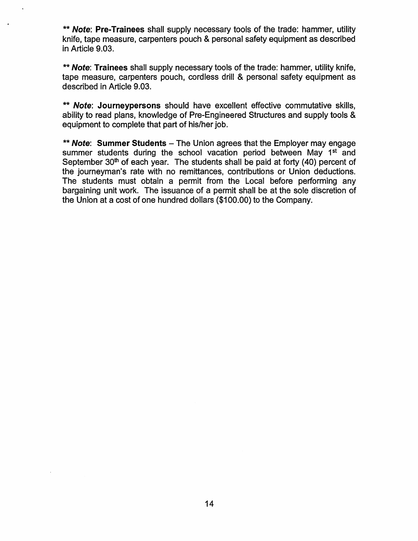\*\* Note: Pre-Trainees shall supply necessary tools of the trade: hammer, utility knife, tape measure, carpenters pouch & personal safety equipment as described in Article 9.03.

\*\* Note: Trainees shall supply necessary tools of the trade: hammer, utility knife, tape measure, carpenters pouch, cordless drill & personal safety equipment as described in Article 9.03.

\*\* Note: Journeypersons should have excellent effective commutative skills, ability to read plans, knowledge of Pre-Engineered Structures and supply tools & equipment to complete that part of his/her job.

\*\* Note: Summer Students  $-$  The Union agrees that the Employer may engage summer students during the school vacation period between May 1<sup>st</sup> and September  $30<sup>th</sup>$  of each year. The students shall be paid at forty (40) percent of the journeyman's rate with no remittances, contributions or Union deductions. The students must obtain a permit from the Local before performing any bargaining unit work. The issuance of a permit shall be at the sole discretion of the Union at a cost of one hundred dollars (\$1 00.00) to the Company.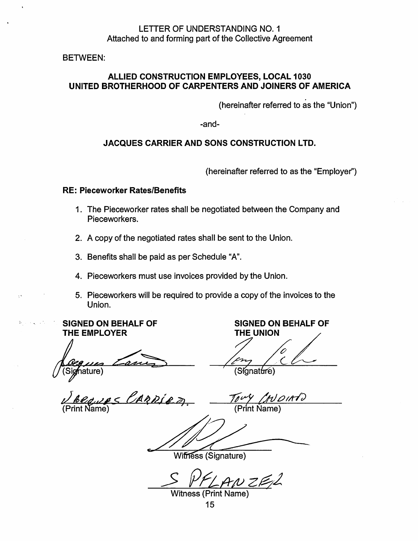# LETTER OF UNDERSTANDING NO. 1 Attached to and forming part of the Collective Agreement

BETWEEN:

# ALLIED CONSTRUCTION EMPLOYEES, LOCAL 1030 UNITED BROTHERHOOD OF CARPENTERS AND JOINERS OF AMERICA

(hereinafter referred to as the "Union")

-and-

#### JACQUES CARRIER AND SONS CONSTRUCTION LTD.

(hereinafter referred to as the "Employer")

#### RE: Pieceworker Rates/Benefits

- 1 . The Pieceworker rates shall be negotiated between the Company and Pieceworkers.
- 2. A copy of the negotiated rates shall be sent to the Union.
- 3. Benefits shall be paid as per Schedule "A".
- 4. Pieceworkers must use invoices provided by the Union.
- 5. Pieceworkers will be required to provide a copy of the invoices to the Union.

# SIGNED ON BEHALF OF THE EMPLOYER

ature)

ARRIEZ

SIGNED ON BEHALF OF THE UNION

(Síonat<del>úr</del>e)

 $OMO$ (Print Name)

Witness (Signature)

Witness (Print Name)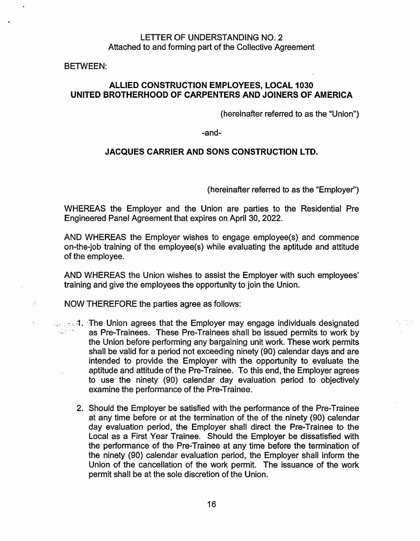# LETTER OF UNDERSTANDING NO. 2 Attached to and forming part of the Collective Agreement

BETWEEN:

χŧ

 $\chi_{\rm eff}$ 

# ALLIED CONSTRUCTION EMPLOYEES, LOCAL 1030 UNITED BROTHERHOOD OF CARPENTERS AND JOINERS OF AMERICA

(hereinafter referred to as the "Union")

-and-

#### JACQUES CARRIER AND SONS CONSTRUCTION LTD.

(hereinafter referred to as the "Employer")

WHEREAS the Employer and the Union are parties to the Residential Pre Engineered Panel Agreement that expires on April 30, 2022.

AND WHEREAS the Employer wishes to engage employee(s) and commence on-the-job training of the employee(s) while evaluating the aptitude and attitude of the employee.

AND WHEREAS the Union wishes to assist the Employer with such employees' training and give the employees the opportunity to join the Union.

- NOW THEREFORE the parties agree as follows:
- . \_\_ ':". -1. ·'fhe Union agrees that the Employer may engage individuals designated as Pre-Trainees. These Pre-Trainees shall be issued permits to work by the Union before performing any bargaining unit work. These work permits shall be valid for a period not exceeding ninety (90) calendar days and are intended to provide the Employer with the opportunity to evaluate the aptitude and attitude of the Pre-Trainee. To this end, the Employer agrees to use the ninety (90) calendar day evaluation period to objectively examine the performance of the Pre-Trainee.
	- 2. Should the Employer be satisfied with the performance of the Pre-Trainee at any time before or at the termination of the of the ninety (90) calendar day evaluation period, the Employer shall direct the Pre-Trainee to the Local as a First Year Trainee. Should the Employer be dissatisfied with the performance of the Pre-Trainee at any time before the termination of the ninety (90) calendar evaluation period, the Employer shall inform the Union of the cancellation of the work permit. The issuance of the work permit shall be at the sole discretion of the Union.